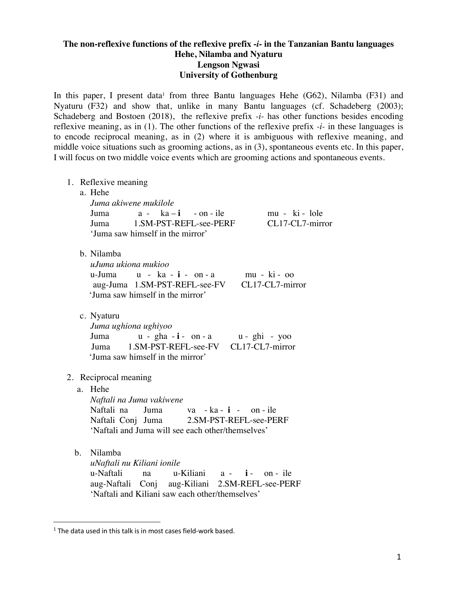## **The non-reflexive functions of the reflexive prefix** *-i-* **in the Tanzanian Bantu languages Hehe, Nilamba and Nyaturu Lengson Ngwasi University of Gothenburg**

In this paper, I present data<sup>1</sup> from three Bantu languages Hehe (G62), Nilamba (F31) and Nyaturu (F32) and show that, unlike in many Bantu languages (cf. Schadeberg (2003); Schadeberg and Bostoen (2018), the reflexive prefix *-i-* has other functions besides encoding reflexive meaning, as in (1). The other functions of the reflexive prefix *-i-* in these languages is to encode reciprocal meaning, as in (2) where it is ambiguous with reflexive meaning, and middle voice situations such as grooming actions, as in (3), spontaneous events etc. In this paper, I will focus on two middle voice events which are grooming actions and spontaneous events.

1. Reflexive meaning a. Hehe *Juma akiwene mukilole* Juma a - ka – **i** - on - ile mu - ki - lole Juma 1.SM-PST-REFL-see-PERF CL17-CL7-mirror 'Juma saw himself in the mirror' b. Nilamba *uJuma ukiona mukioo* u-Juma u - ka - **i** - on - a mu - ki - oo aug-Juma 1.SM-PST-REFL-see-FV CL17-CL7-mirror 'Juma saw himself in the mirror' c. Nyaturu *Juma ughiona ughiyoo* Juma u - gha - **i** - on - a u - ghi - yoo Juma 1.SM-PST-REFL-see-FV CL17-CL7-mirror 'Juma saw himself in the mirror' 2. Reciprocal meaning a. Hehe *Naftali na Juma vakiwene* Naftali na Juma va - ka - **i** - on - ile Naftali Conj Juma 2.SM-PST-REFL-see-PERF 'Naftali and Juma will see each other/themselves' b. Nilamba *uNaftali nu Kiliani ionile* u-Naftali na u-Kiliani a - **i** - on - ile aug-Naftali Conj aug-Kiliani 2.SM-REFL-see-PERF 'Naftali and Kiliani saw each other/themselves'

 $1$  The data used in this talk is in most cases field-work based.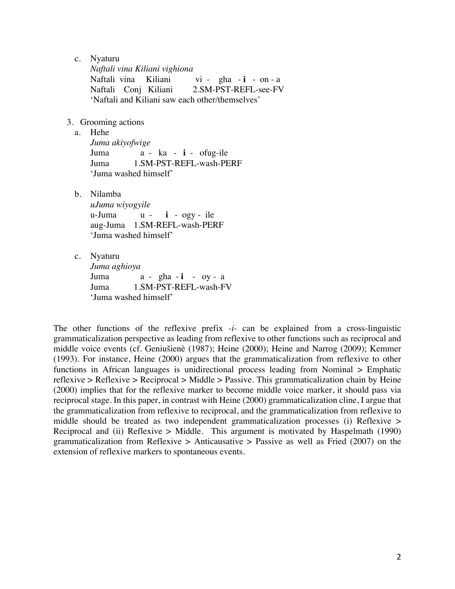c. Nyaturu

*Naftali vina Kiliani vighiona* Naftali vina Kiliani vi - gha - **i** - on - a Naftali Conj Kiliani 2.SM-PST-REFL-see-FV 'Naftali and Kiliani saw each other/themselves'

- 3. Grooming actions
	- a. Hehe

*Juma akiyofwige* Juma a - ka - **i** - ofug-ile Juma 1.SM-PST-REFL-wash-PERF 'Juma washed himself'

b. Nilamba

*uJuma wiyogyile* u-Juma u - **i** - ogy - ile aug-Juma 1.SM-REFL-wash-PERF 'Juma washed himself'

c. Nyaturu

*Juma aghioya* Juma a - gha - **i** - oy - a Juma 1.SM-PST-REFL-wash-FV 'Juma washed himself'

The other functions of the reflexive prefix *-i-* can be explained from a cross-linguistic grammaticalization perspective as leading from reflexive to other functions such as reciprocal and middle voice events (cf. Geniušienè (1987); Heine (2000); Heine and Narrog (2009); Kemmer (1993). For instance, Heine (2000) argues that the grammaticalization from reflexive to other functions in African languages is unidirectional process leading from Nominal > Emphatic reflexive > Reflexive > Reciprocal > Middle > Passive. This grammaticalization chain by Heine (2000) implies that for the reflexive marker to become middle voice marker, it should pass via reciprocal stage. In this paper, in contrast with Heine (2000) grammaticalization cline, I argue that the grammaticalization from reflexive to reciprocal, and the grammaticalization from reflexive to middle should be treated as two independent grammaticalization processes (i) Reflexive > Reciprocal and (ii) Reflexive > Middle. This argument is motivated by Haspelmath (1990) grammaticalization from Reflexive > Anticausative > Passive as well as Fried (2007) on the extension of reflexive markers to spontaneous events.